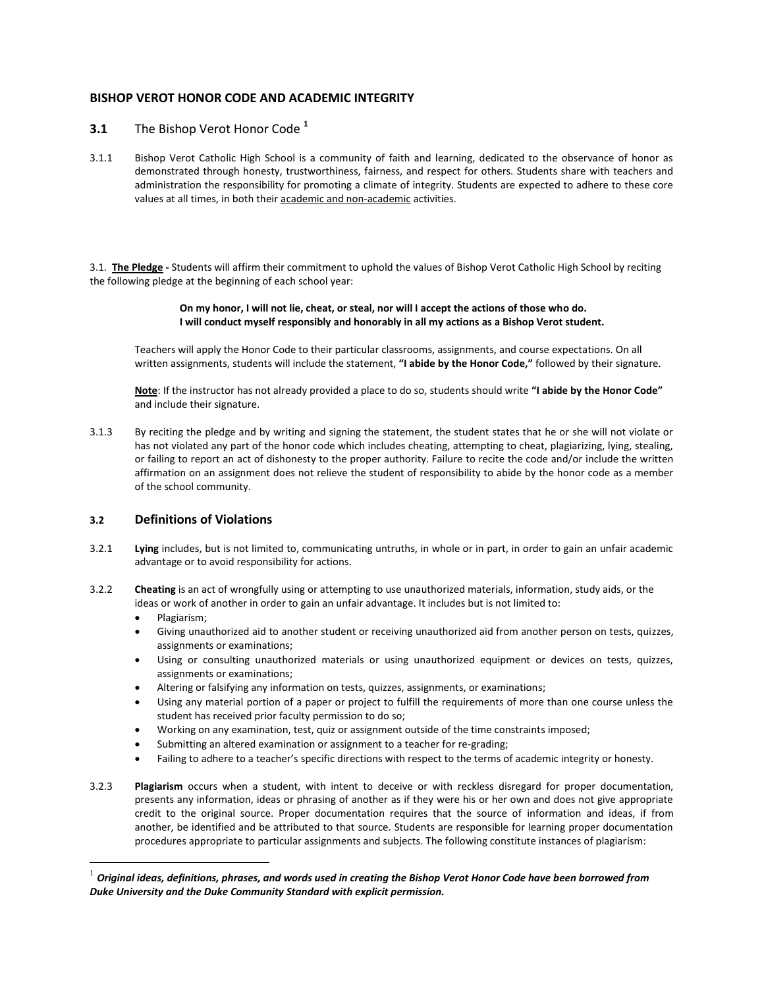# **BISHOP VEROT HONOR CODE AND ACADEMIC INTEGRITY**

## **3.1** The Bishop Verot Honor Code **<sup>1</sup>**

3.1.1 Bishop Verot Catholic High School is a community of faith and learning, dedicated to the observance of honor as demonstrated through honesty, trustworthiness, fairness, and respect for others. Students share with teachers and administration the responsibility for promoting a climate of integrity. Students are expected to adhere to these core values at all times, in both their academic and non-academic activities.

3.1. **The Pledge -** Students will affirm their commitment to uphold the values of Bishop Verot Catholic High School by reciting the following pledge at the beginning of each school year:

#### **On my honor, I will not lie, cheat, or steal, nor will I accept the actions of those who do. I will conduct myself responsibly and honorably in all my actions as a Bishop Verot student.**

Teachers will apply the Honor Code to their particular classrooms, assignments, and course expectations. On all written assignments, students will include the statement, **"I abide by the Honor Code,"** followed by their signature.

**Note**: If the instructor has not already provided a place to do so, students should write **"I abide by the Honor Code"** and include their signature.

3.1.3 By reciting the pledge and by writing and signing the statement, the student states that he or she will not violate or has not violated any part of the honor code which includes cheating, attempting to cheat, plagiarizing, lying, stealing, or failing to report an act of dishonesty to the proper authority. Failure to recite the code and/or include the written affirmation on an assignment does not relieve the student of responsibility to abide by the honor code as a member of the school community.

### **3.2 Definitions of Violations**

- 3.2.1 **Lying** includes, but is not limited to, communicating untruths, in whole or in part, in order to gain an unfair academic advantage or to avoid responsibility for actions.
- 3.2.2 **Cheating** is an act of wrongfully using or attempting to use unauthorized materials, information, study aids, or the ideas or work of another in order to gain an unfair advantage. It includes but is not limited to:
	- Plagiarism;

 $\overline{a}$ 

- Giving unauthorized aid to another student or receiving unauthorized aid from another person on tests, quizzes, assignments or examinations;
- Using or consulting unauthorized materials or using unauthorized equipment or devices on tests, quizzes, assignments or examinations;
- Altering or falsifying any information on tests, quizzes, assignments, or examinations;
- Using any material portion of a paper or project to fulfill the requirements of more than one course unless the student has received prior faculty permission to do so;
- Working on any examination, test, quiz or assignment outside of the time constraints imposed;
- Submitting an altered examination or assignment to a teacher for re-grading;
- Failing to adhere to a teacher's specific directions with respect to the terms of academic integrity or honesty.
- 3.2.3 **Plagiarism** occurs when a student, with intent to deceive or with reckless disregard for proper documentation, presents any information, ideas or phrasing of another as if they were his or her own and does not give appropriate credit to the original source. Proper documentation requires that the source of information and ideas, if from another, be identified and be attributed to that source. Students are responsible for learning proper documentation procedures appropriate to particular assignments and subjects. The following constitute instances of plagiarism:

<sup>1</sup> *Original ideas, definitions, phrases, and words used in creating the Bishop Verot Honor Code have been borrowed from Duke University and the Duke Community Standard with explicit permission.*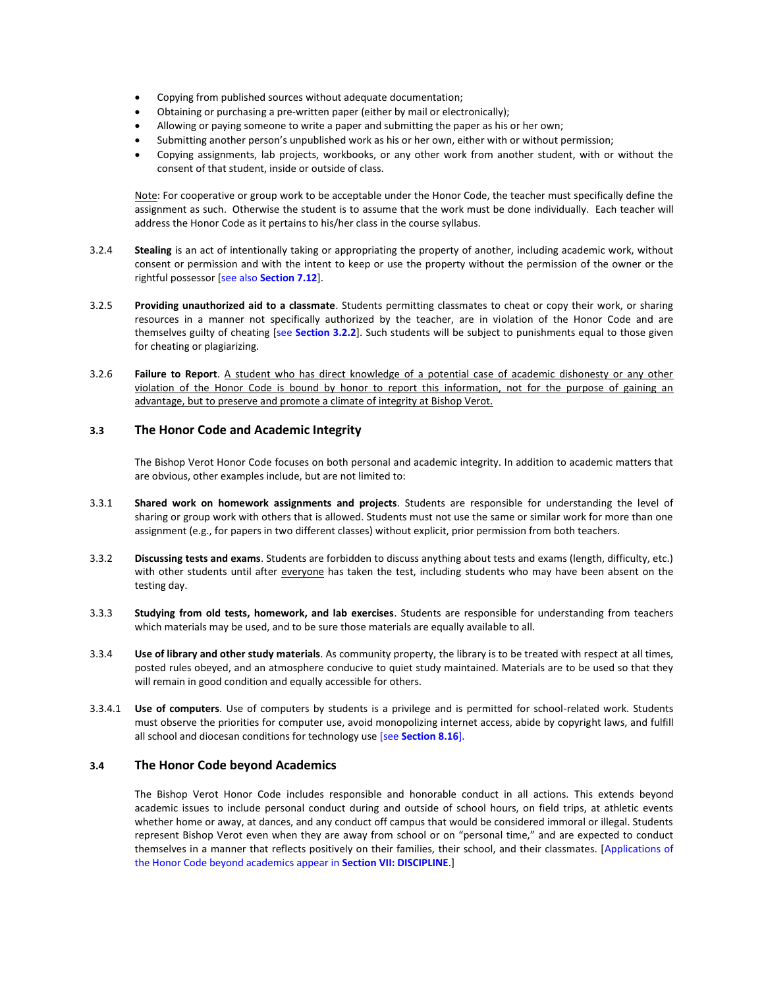- Copying from published sources without adequate documentation;
- Obtaining or purchasing a pre-written paper (either by mail or electronically);
- Allowing or paying someone to write a paper and submitting the paper as his or her own;
- Submitting another person's unpublished work as his or her own, either with or without permission;
- Copying assignments, lab projects, workbooks, or any other work from another student, with or without the consent of that student, inside or outside of class.

Note: For cooperative or group work to be acceptable under the Honor Code, the teacher must specifically define the assignment as such. Otherwise the student is to assume that the work must be done individually. Each teacher will address the Honor Code as it pertains to his/her class in the course syllabus.

- 3.2.4 **Stealing** is an act of intentionally taking or appropriating the property of another, including academic work, without consent or permission and with the intent to keep or use the property without the permission of the owner or the rightful possessor [see also **Section 7.12**].
- 3.2.5 **Providing unauthorized aid to a classmate**. Students permitting classmates to cheat or copy their work, or sharing resources in a manner not specifically authorized by the teacher, are in violation of the Honor Code and are themselves guilty of cheating [see **Section 3.2.2**]. Such students will be subject to punishments equal to those given for cheating or plagiarizing.
- 3.2.6 **Failure to Report**. A student who has direct knowledge of a potential case of academic dishonesty or any other violation of the Honor Code is bound by honor to report this information, not for the purpose of gaining an advantage, but to preserve and promote a climate of integrity at Bishop Verot.

## **3.3 The Honor Code and Academic Integrity**

The Bishop Verot Honor Code focuses on both personal and academic integrity. In addition to academic matters that are obvious, other examples include, but are not limited to:

- 3.3.1 **Shared work on homework assignments and projects**. Students are responsible for understanding the level of sharing or group work with others that is allowed. Students must not use the same or similar work for more than one assignment (e.g., for papers in two different classes) without explicit, prior permission from both teachers.
- 3.3.2 **Discussing tests and exams**. Students are forbidden to discuss anything about tests and exams (length, difficulty, etc.) with other students until after everyone has taken the test, including students who may have been absent on the testing day.
- 3.3.3 **Studying from old tests, homework, and lab exercises**. Students are responsible for understanding from teachers which materials may be used, and to be sure those materials are equally available to all.
- 3.3.4 **Use of library and other study materials**. As community property, the library is to be treated with respect at all times, posted rules obeyed, and an atmosphere conducive to quiet study maintained. Materials are to be used so that they will remain in good condition and equally accessible for others.
- 3.3.4.1 **Use of computers**. Use of computers by students is a privilege and is permitted for school-related work. Students must observe the priorities for computer use, avoid monopolizing internet access, abide by copyright laws, and fulfill all school and diocesan conditions for technology use [see **Section 8.16**].

### **3.4 The Honor Code beyond Academics**

The Bishop Verot Honor Code includes responsible and honorable conduct in all actions. This extends beyond academic issues to include personal conduct during and outside of school hours, on field trips, at athletic events whether home or away, at dances, and any conduct off campus that would be considered immoral or illegal. Students represent Bishop Verot even when they are away from school or on "personal time," and are expected to conduct themselves in a manner that reflects positively on their families, their school, and their classmates. [Applications of the Honor Code beyond academics appear in **Section VII: DISCIPLINE**.]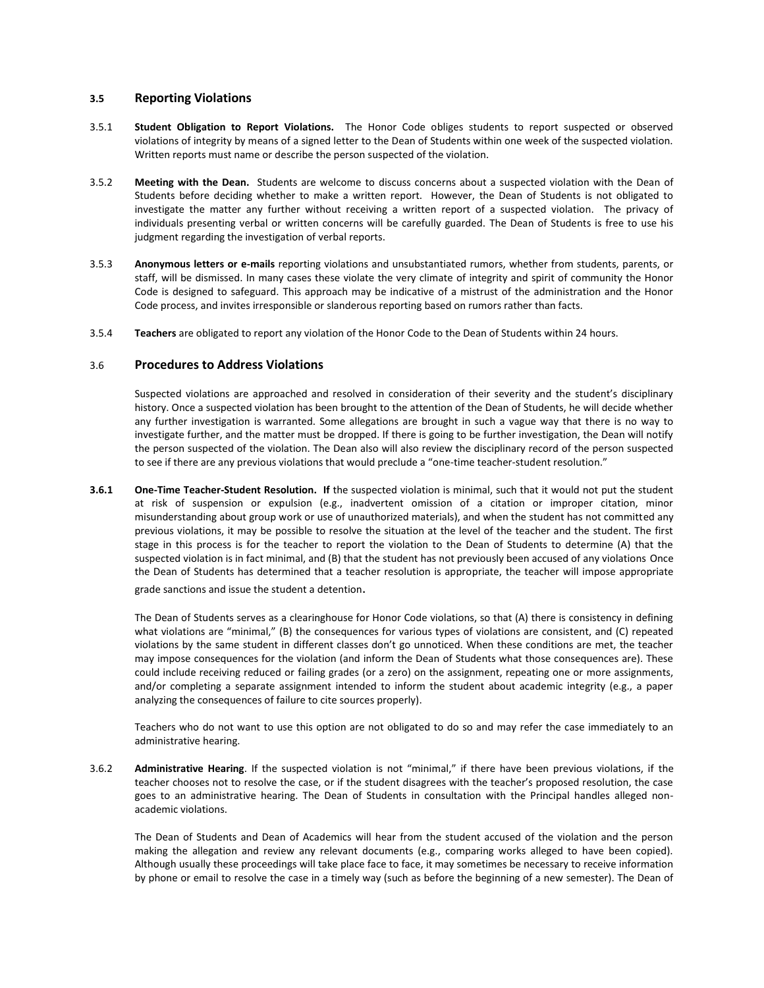### **3.5 Reporting Violations**

- 3.5.1 **Student Obligation to Report Violations.** The Honor Code obliges students to report suspected or observed violations of integrity by means of a signed letter to the Dean of Students within one week of the suspected violation. Written reports must name or describe the person suspected of the violation.
- 3.5.2 **Meeting with the Dean.** Students are welcome to discuss concerns about a suspected violation with the Dean of Students before deciding whether to make a written report. However, the Dean of Students is not obligated to investigate the matter any further without receiving a written report of a suspected violation. The privacy of individuals presenting verbal or written concerns will be carefully guarded. The Dean of Students is free to use his judgment regarding the investigation of verbal reports.
- 3.5.3 **Anonymous letters or e-mails** reporting violations and unsubstantiated rumors, whether from students, parents, or staff, will be dismissed. In many cases these violate the very climate of integrity and spirit of community the Honor Code is designed to safeguard. This approach may be indicative of a mistrust of the administration and the Honor Code process, and invites irresponsible or slanderous reporting based on rumors rather than facts.
- 3.5.4 **Teachers** are obligated to report any violation of the Honor Code to the Dean of Students within 24 hours.

#### 3.6 **Procedures to Address Violations**

Suspected violations are approached and resolved in consideration of their severity and the student's disciplinary history. Once a suspected violation has been brought to the attention of the Dean of Students, he will decide whether any further investigation is warranted. Some allegations are brought in such a vague way that there is no way to investigate further, and the matter must be dropped. If there is going to be further investigation, the Dean will notify the person suspected of the violation. The Dean also will also review the disciplinary record of the person suspected to see if there are any previous violations that would preclude a "one-time teacher-student resolution."

**3.6.1 One-Time Teacher-Student Resolution. If** the suspected violation is minimal, such that it would not put the student at risk of suspension or expulsion (e.g., inadvertent omission of a citation or improper citation, minor misunderstanding about group work or use of unauthorized materials), and when the student has not committed any previous violations, it may be possible to resolve the situation at the level of the teacher and the student. The first stage in this process is for the teacher to report the violation to the Dean of Students to determine (A) that the suspected violation is in fact minimal, and (B) that the student has not previously been accused of any violations Once the Dean of Students has determined that a teacher resolution is appropriate, the teacher will impose appropriate grade sanctions and issue the student a detention.

The Dean of Students serves as a clearinghouse for Honor Code violations, so that (A) there is consistency in defining what violations are "minimal," (B) the consequences for various types of violations are consistent, and (C) repeated violations by the same student in different classes don't go unnoticed. When these conditions are met, the teacher may impose consequences for the violation (and inform the Dean of Students what those consequences are). These could include receiving reduced or failing grades (or a zero) on the assignment, repeating one or more assignments, and/or completing a separate assignment intended to inform the student about academic integrity (e.g., a paper analyzing the consequences of failure to cite sources properly).

Teachers who do not want to use this option are not obligated to do so and may refer the case immediately to an administrative hearing.

3.6.2 **Administrative Hearing**. If the suspected violation is not "minimal," if there have been previous violations, if the teacher chooses not to resolve the case, or if the student disagrees with the teacher's proposed resolution, the case goes to an administrative hearing. The Dean of Students in consultation with the Principal handles alleged nonacademic violations.

The Dean of Students and Dean of Academics will hear from the student accused of the violation and the person making the allegation and review any relevant documents (e.g., comparing works alleged to have been copied). Although usually these proceedings will take place face to face, it may sometimes be necessary to receive information by phone or email to resolve the case in a timely way (such as before the beginning of a new semester). The Dean of